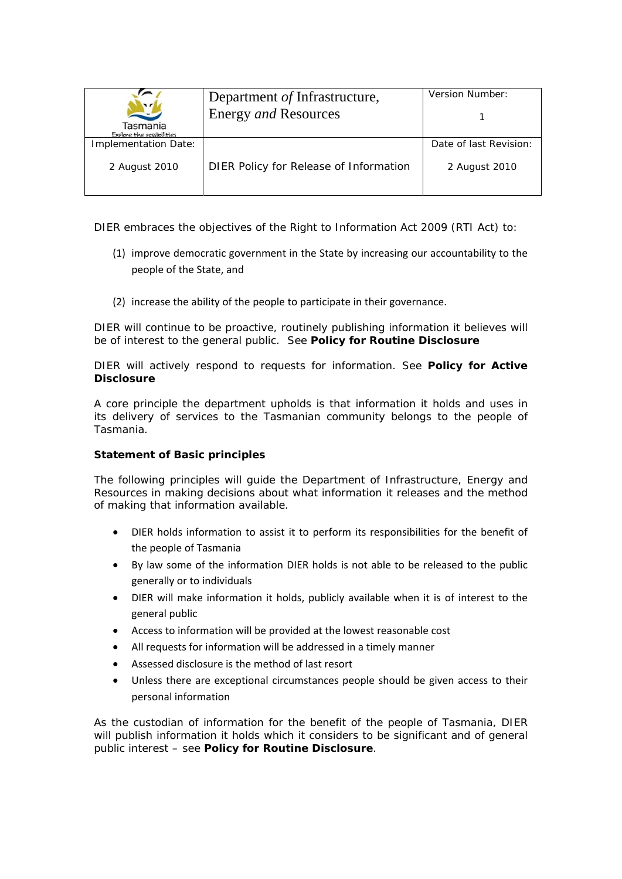| $\mathbf{z}$                          | Department of Infrastructure,          | Version Number:        |
|---------------------------------------|----------------------------------------|------------------------|
|                                       | Energy and Resources                   |                        |
| Tasmania<br>Explore the possibilities |                                        |                        |
| Implementation Date:                  |                                        | Date of last Revision: |
| 2 August 2010                         | DIER Policy for Release of Information | 2 August 2010          |

DIER embraces the objectives of the *Right to Information Act 2009* (RTI Act) to:

- (1) improve democratic government in the State by increasing our accountability to the people of the State, and
- (2) increase the ability of the people to participate in their governance.

DIER will continue to be proactive, routinely publishing information it believes will be of interest to the general public. See **Policy for Routine Disclosure**

DIER will actively respond to requests for information. See **Policy for Active Disclosure**

A core principle the department upholds is that information it holds and uses in its delivery of services to the Tasmanian community belongs to the people of Tasmania.

## **Statement of Basic principles**

The following principles will guide the Department of Infrastructure, Energy and Resources in making decisions about what information it releases and the method of making that information available.

- DIER holds information to assist it to perform its responsibilities for the benefit of the people of Tasmania
- By law some of the information DIER holds is not able to be released to the public generally or to individuals
- DIER will make information it holds, publicly available when it is of interest to the general public
- Access to information will be provided at the lowest reasonable cost
- All requests for information will be addressed in a timely manner
- Assessed disclosure is the method of last resort
- Unless there are exceptional circumstances people should be given access to their personal information

As the custodian of information for the benefit of the people of Tasmania, DIER will publish information it holds which it considers to be significant and of general public interest – see **Policy for Routine Disclosure**.